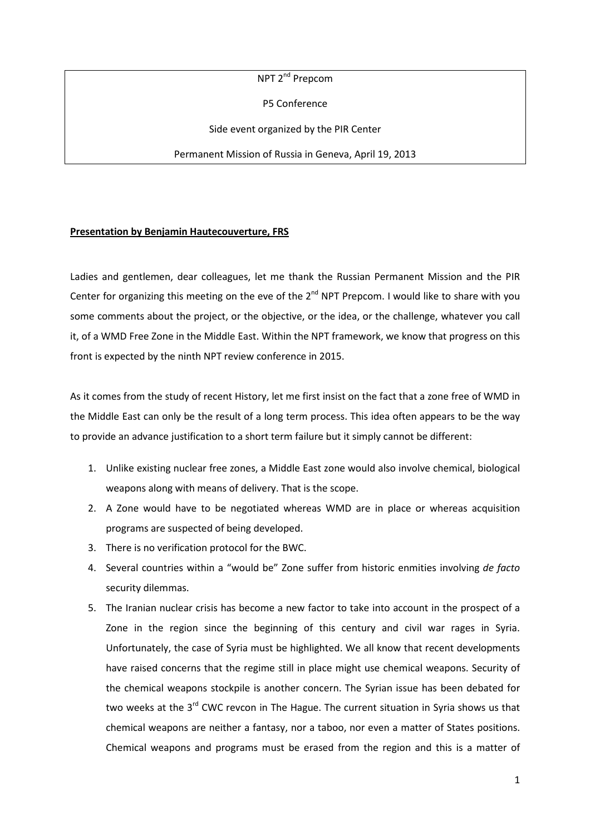NPT 2<sup>nd</sup> Prepcom

P5 Conference

Side event organized by the PIR Center

Permanent Mission of Russia in Geneva, April 19, 2013

## **Presentation by Benjamin Hautecouverture, FRS**

Ladies and gentlemen, dear colleagues, let me thank the Russian Permanent Mission and the PIR Center for organizing this meeting on the eve of the  $2^{nd}$  NPT Prepcom. I would like to share with you some comments about the project, or the objective, or the idea, or the challenge, whatever you call it, of a WMD Free Zone in the Middle East. Within the NPT framework, we know that progress on this front is expected by the ninth NPT review conference in 2015.

As it comes from the study of recent History, let me first insist on the fact that a zone free of WMD in the Middle East can only be the result of a long term process. This idea often appears to be the way to provide an advance justification to a short term failure but it simply cannot be different:

- 1. Unlike existing nuclear free zones, a Middle East zone would also involve chemical, biological weapons along with means of delivery. That is the scope.
- 2. A Zone would have to be negotiated whereas WMD are in place or whereas acquisition programs are suspected of being developed.
- 3. There is no verification protocol for the BWC.
- 4. Several countries within a "would be" Zone suffer from historic enmities involving *de facto* security dilemmas.
- 5. The Iranian nuclear crisis has become a new factor to take into account in the prospect of a Zone in the region since the beginning of this century and civil war rages in Syria. Unfortunately, the case of Syria must be highlighted. We all know that recent developments have raised concerns that the regime still in place might use chemical weapons. Security of the chemical weapons stockpile is another concern. The Syrian issue has been debated for two weeks at the  $3^{rd}$  CWC revcon in The Hague. The current situation in Syria shows us that chemical weapons are neither a fantasy, nor a taboo, nor even a matter of States positions. Chemical weapons and programs must be erased from the region and this is a matter of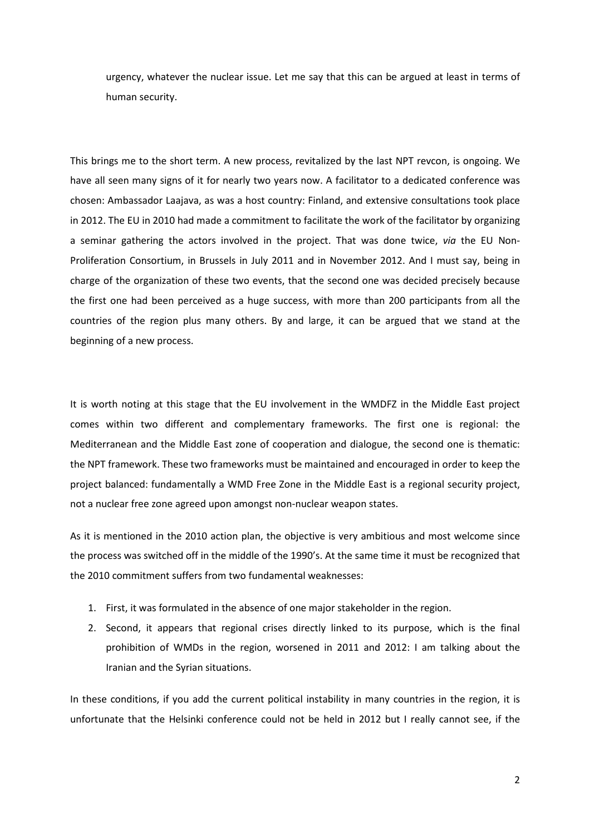urgency, whatever the nuclear issue. Let me say that this can be argued at least in terms of human security.

This brings me to the short term. A new process, revitalized by the last NPT revcon, is ongoing. We have all seen many signs of it for nearly two years now. A facilitator to a dedicated conference was chosen: Ambassador Laajava, as was a host country: Finland, and extensive consultations took place in 2012. The EU in 2010 had made a commitment to facilitate the work of the facilitator by organizing a seminar gathering the actors involved in the project. That was done twice, *via* the EU Non-Proliferation Consortium, in Brussels in July 2011 and in November 2012. And I must say, being in charge of the organization of these two events, that the second one was decided precisely because the first one had been perceived as a huge success, with more than 200 participants from all the countries of the region plus many others. By and large, it can be argued that we stand at the beginning of a new process.

It is worth noting at this stage that the EU involvement in the WMDFZ in the Middle East project comes within two different and complementary frameworks. The first one is regional: the Mediterranean and the Middle East zone of cooperation and dialogue, the second one is thematic: the NPT framework. These two frameworks must be maintained and encouraged in order to keep the project balanced: fundamentally a WMD Free Zone in the Middle East is a regional security project, not a nuclear free zone agreed upon amongst non-nuclear weapon states.

As it is mentioned in the 2010 action plan, the objective is very ambitious and most welcome since the process was switched off in the middle of the 1990's. At the same time it must be recognized that the 2010 commitment suffers from two fundamental weaknesses:

- 1. First, it was formulated in the absence of one major stakeholder in the region.
- 2. Second, it appears that regional crises directly linked to its purpose, which is the final prohibition of WMDs in the region, worsened in 2011 and 2012: I am talking about the Iranian and the Syrian situations.

In these conditions, if you add the current political instability in many countries in the region, it is unfortunate that the Helsinki conference could not be held in 2012 but I really cannot see, if the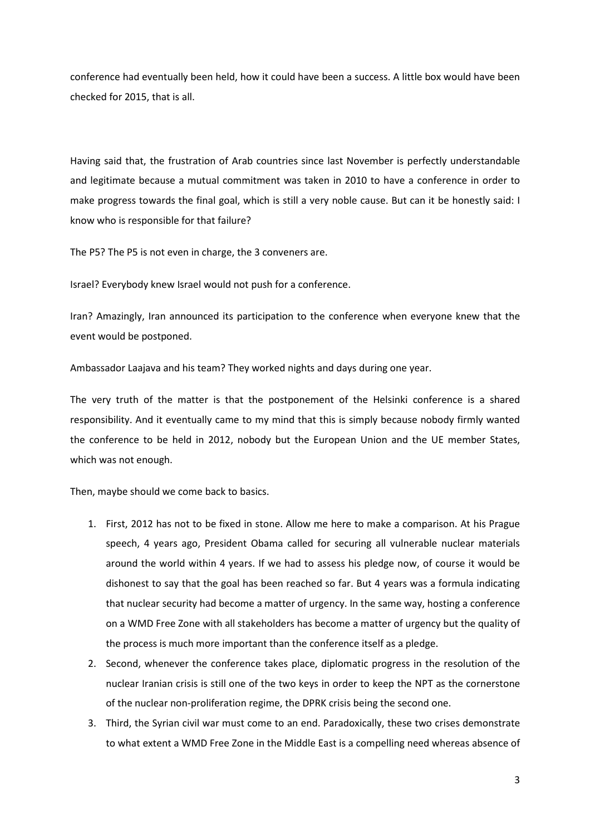conference had eventually been held, how it could have been a success. A little box would have been checked for 2015, that is all.

Having said that, the frustration of Arab countries since last November is perfectly understandable and legitimate because a mutual commitment was taken in 2010 to have a conference in order to make progress towards the final goal, which is still a very noble cause. But can it be honestly said: I know who is responsible for that failure?

The P5? The P5 is not even in charge, the 3 conveners are.

Israel? Everybody knew Israel would not push for a conference.

Iran? Amazingly, Iran announced its participation to the conference when everyone knew that the event would be postponed.

Ambassador Laajava and his team? They worked nights and days during one year.

The very truth of the matter is that the postponement of the Helsinki conference is a shared responsibility. And it eventually came to my mind that this is simply because nobody firmly wanted the conference to be held in 2012, nobody but the European Union and the UE member States, which was not enough.

Then, maybe should we come back to basics.

- 1. First, 2012 has not to be fixed in stone. Allow me here to make a comparison. At his Prague speech, 4 years ago, President Obama called for securing all vulnerable nuclear materials around the world within 4 years. If we had to assess his pledge now, of course it would be dishonest to say that the goal has been reached so far. But 4 years was a formula indicating that nuclear security had become a matter of urgency. In the same way, hosting a conference on a WMD Free Zone with all stakeholders has become a matter of urgency but the quality of the process is much more important than the conference itself as a pledge.
- 2. Second, whenever the conference takes place, diplomatic progress in the resolution of the nuclear Iranian crisis is still one of the two keys in order to keep the NPT as the cornerstone of the nuclear non-proliferation regime, the DPRK crisis being the second one.
- 3. Third, the Syrian civil war must come to an end. Paradoxically, these two crises demonstrate to what extent a WMD Free Zone in the Middle East is a compelling need whereas absence of